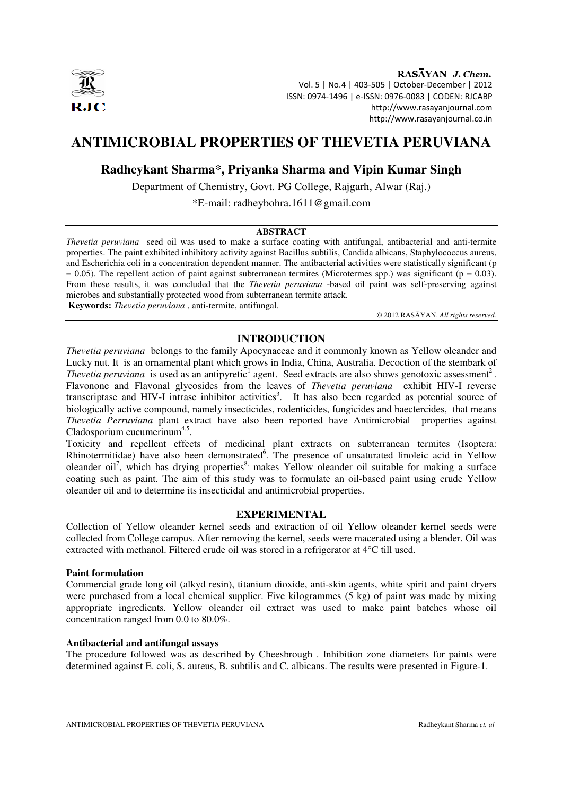

RASAYAN J. Chem. Vol. 5 | No.4 | 403-505 | October-December | 2012 ISSN: 0974-1496 | e-ISSN: 0976-0083 | CODEN: RJCABP http://www.rasayanjournal.com http://www.rasayanjournal.co.in

# **ANTIMICROBIAL PROPERTIES OF THEVETIA PERUVIANA**

## **Radheykant Sharma\*, Priyanka Sharma and Vipin Kumar Singh**

Department of Chemistry, Govt. PG College, Rajgarh, Alwar (Raj.)

\*E-mail: radheybohra.1611@gmail.com

## **ABSTRACT**

*Thevetia peruviana* seed oil was used to make a surface coating with antifungal, antibacterial and anti-termite properties. The paint exhibited inhibitory activity against Bacillus subtilis, Candida albicans, Staphylococcus aureus, and Escherichia coli in a concentration dependent manner. The antibacterial activities were statistically significant (p  $= 0.05$ ). The repellent action of paint against subterranean termites (Microtermes spp.) was significant (p = 0.03). From these results, it was concluded that the *Thevetia peruviana* -based oil paint was self-preserving against microbes and substantially protected wood from subterranean termite attack.

**Keywords:** *Thevetia peruviana* , anti-termite, antifungal.

© 2012 RASĀYAN. *All rights reserved.*

## **INTRODUCTION**

*Thevetia peruviana* belongs to the family Apocynaceae and it commonly known as Yellow oleander and Lucky nut. It is an ornamental plant which grows in India, China, Australia. Decoction of the stembark of *Thevetia peruviana* is used as an antipyretic<sup>1</sup> agent. Seed extracts are also shows genotoxic assessment<sup>2</sup>. Flavonone and Flavonal glycosides from the leaves of *Thevetia peruviana* exhibit HIV-I reverse transcriptase and HIV-I intrase inhibitor activities<sup>3</sup>. It has also been regarded as potential source of biologically active compound, namely insecticides, rodenticides, fungicides and baectercides, that means *Thevetia Perruviana* plant extract have also been reported have Antimicrobial properties against Cladosporium cucumerinum<sup>4,5</sup>.

Toxicity and repellent effects of medicinal plant extracts on subterranean termites (Isoptera: Rhinotermitidae) have also been demonstrated<sup>6</sup>. The presence of unsaturated linoleic acid in Yellow oleander oil<sup>7</sup>, which has drying properties<sup>8,</sup> makes Yellow oleander oil suitable for making a surface coating such as paint. The aim of this study was to formulate an oil-based paint using crude Yellow oleander oil and to determine its insecticidal and antimicrobial properties.

## **EXPERIMENTAL**

Collection of Yellow oleander kernel seeds and extraction of oil Yellow oleander kernel seeds were collected from College campus. After removing the kernel, seeds were macerated using a blender. Oil was extracted with methanol. Filtered crude oil was stored in a refrigerator at 4°C till used.

## **Paint formulation**

Commercial grade long oil (alkyd resin), titanium dioxide, anti-skin agents, white spirit and paint dryers were purchased from a local chemical supplier. Five kilogrammes (5 kg) of paint was made by mixing appropriate ingredients. Yellow oleander oil extract was used to make paint batches whose oil concentration ranged from 0.0 to 80.0%.

## **Antibacterial and antifungal assays**

The procedure followed was as described by Cheesbrough . Inhibition zone diameters for paints were determined against E. coli, S. aureus, B. subtilis and C. albicans. The results were presented in Figure-1.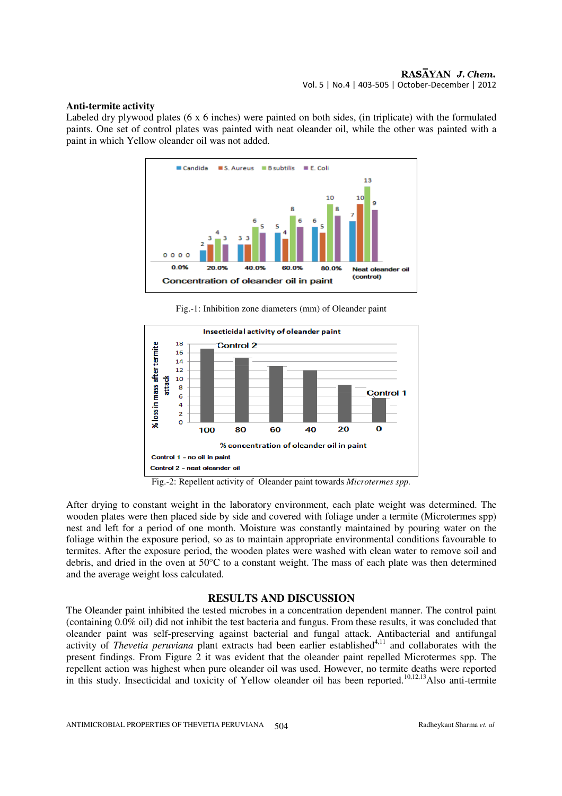#### **Anti-termite activity**

Labeled dry plywood plates (6 x 6 inches) were painted on both sides, (in triplicate) with the formulated paints. One set of control plates was painted with neat oleander oil, while the other was painted with a paint in which Yellow oleander oil was not added.



Fig.-1: Inhibition zone diameters (mm) of Oleander paint



Fig.-2: Repellent activity of Oleander paint towards *Microtermes spp.* 

After drying to constant weight in the laboratory environment, each plate weight was determined. The wooden plates were then placed side by side and covered with foliage under a termite (Microtermes spp) nest and left for a period of one month. Moisture was constantly maintained by pouring water on the foliage within the exposure period, so as to maintain appropriate environmental conditions favourable to termites. After the exposure period, the wooden plates were washed with clean water to remove soil and debris, and dried in the oven at 50°C to a constant weight. The mass of each plate was then determined and the average weight loss calculated.

## **RESULTS AND DISCUSSION**

The Oleander paint inhibited the tested microbes in a concentration dependent manner. The control paint (containing 0.0% oil) did not inhibit the test bacteria and fungus. From these results, it was concluded that oleander paint was self-preserving against bacterial and fungal attack. Antibacterial and antifungal activity of *Thevetia peruviana* plant extracts had been earlier established<sup>4,11</sup> and collaborates with the present findings. From Figure 2 it was evident that the oleander paint repelled Microtermes spp. The repellent action was highest when pure oleander oil was used. However, no termite deaths were reported in this study. Insecticidal and toxicity of Yellow oleander oil has been reported.<sup>10,12,13</sup>Also anti-termite